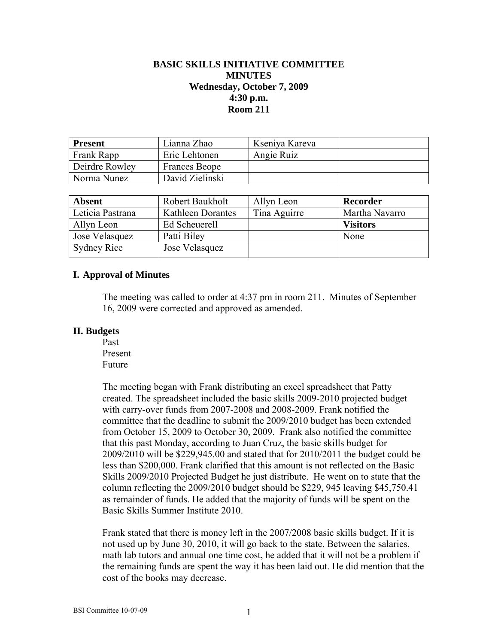# **BASIC SKILLS INITIATIVE COMMITTEE MINUTES Wednesday, October 7, 2009 4:30 p.m. Room 211**

| <b>Present</b> | Lianna Zhao     | Kseniya Kareva |  |
|----------------|-----------------|----------------|--|
| Frank Rapp     | Eric Lehtonen   | Angie Ruiz     |  |
| Deirdre Rowley | Frances Beope   |                |  |
| Norma Nunez    | David Zielinski |                |  |

| <b>Absent</b>      | Robert Baukholt   | Allyn Leon   | Recorder        |
|--------------------|-------------------|--------------|-----------------|
| Leticia Pastrana   | Kathleen Dorantes | Tina Aguirre | Martha Navarro  |
| Allyn Leon         | Ed Scheuerell     |              | <b>Visitors</b> |
| Jose Velasquez     | Patti Biley       |              | None            |
| <b>Sydney Rice</b> | Jose Velasquez    |              |                 |

#### **I. Approval of Minutes**

The meeting was called to order at 4:37 pm in room 211. Minutes of September 16, 2009 were corrected and approved as amended.

#### **II. Budgets**

 Past Present Future

The meeting began with Frank distributing an excel spreadsheet that Patty created. The spreadsheet included the basic skills 2009-2010 projected budget with carry-over funds from 2007-2008 and 2008-2009. Frank notified the committee that the deadline to submit the 2009/2010 budget has been extended from October 15, 2009 to October 30, 2009. Frank also notified the committee that this past Monday, according to Juan Cruz, the basic skills budget for 2009/2010 will be \$229,945.00 and stated that for 2010/2011 the budget could be less than \$200,000. Frank clarified that this amount is not reflected on the Basic Skills 2009/2010 Projected Budget he just distribute. He went on to state that the column reflecting the 2009/2010 budget should be \$229, 945 leaving \$45,750.41 as remainder of funds. He added that the majority of funds will be spent on the Basic Skills Summer Institute 2010.

Frank stated that there is money left in the 2007/2008 basic skills budget. If it is not used up by June 30, 2010, it will go back to the state. Between the salaries, math lab tutors and annual one time cost, he added that it will not be a problem if the remaining funds are spent the way it has been laid out. He did mention that the cost of the books may decrease.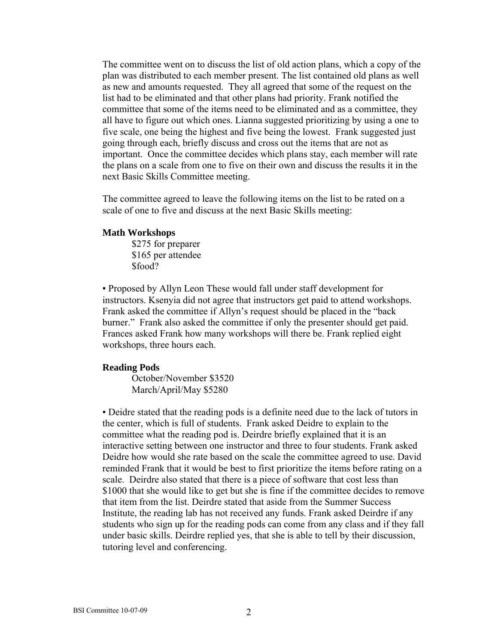The committee went on to discuss the list of old action plans, which a copy of the plan was distributed to each member present. The list contained old plans as well as new and amounts requested. They all agreed that some of the request on the list had to be eliminated and that other plans had priority. Frank notified the committee that some of the items need to be eliminated and as a committee, they all have to figure out which ones. Lianna suggested prioritizing by using a one to five scale, one being the highest and five being the lowest. Frank suggested just going through each, briefly discuss and cross out the items that are not as important. Once the committee decides which plans stay, each member will rate the plans on a scale from one to five on their own and discuss the results it in the next Basic Skills Committee meeting.

The committee agreed to leave the following items on the list to be rated on a scale of one to five and discuss at the next Basic Skills meeting:

#### **Math Workshops**

 \$275 for preparer \$165 per attendee \$food?

▪ Proposed by Allyn Leon These would fall under staff development for instructors. Ksenyia did not agree that instructors get paid to attend workshops. Frank asked the committee if Allyn's request should be placed in the "back burner." Frank also asked the committee if only the presenter should get paid. Frances asked Frank how many workshops will there be. Frank replied eight workshops, three hours each.

## **Reading Pods**

October/November \$3520 March/April/May \$5280

▪ Deidre stated that the reading pods is a definite need due to the lack of tutors in the center, which is full of students. Frank asked Deidre to explain to the committee what the reading pod is. Deirdre briefly explained that it is an interactive setting between one instructor and three to four students. Frank asked Deidre how would she rate based on the scale the committee agreed to use. David reminded Frank that it would be best to first prioritize the items before rating on a scale. Deirdre also stated that there is a piece of software that cost less than \$1000 that she would like to get but she is fine if the committee decides to remove that item from the list. Deirdre stated that aside from the Summer Success Institute, the reading lab has not received any funds. Frank asked Deirdre if any students who sign up for the reading pods can come from any class and if they fall under basic skills. Deirdre replied yes, that she is able to tell by their discussion, tutoring level and conferencing.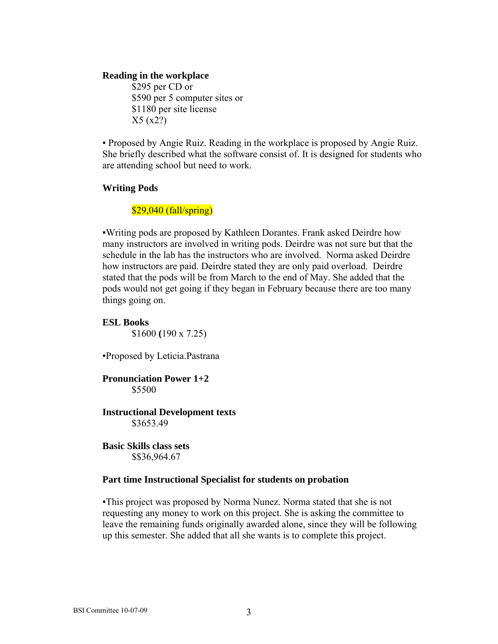## **Reading in the workplace**

\$295 per CD or \$590 per 5 computer sites or \$1180 per site license X5 (x2?)

▪ Proposed by Angie Ruiz. Reading in the workplace is proposed by Angie Ruiz. She briefly described what the software consist of. It is designed for students who are attending school but need to work.

## **Writing Pods**

## \$29,040 (fall/spring)

▪Writing pods are proposed by Kathleen Dorantes. Frank asked Deirdre how many instructors are involved in writing pods. Deirdre was not sure but that the schedule in the lab has the instructors who are involved. Norma asked Deirdre how instructors are paid. Deirdre stated they are only paid overload. Deirdre stated that the pods will be from March to the end of May. She added that the pods would not get going if they began in February because there are too many things going on.

## **ESL Books**

\$1600 **(**190 x 7.25)

▪Proposed by Leticia.Pastrana

## **Pronunciation Power 1+2**  \$5500

#### **Instructional Development texts**  \$3653.49

**Basic Skills class sets**  \$\$36,964.67

#### **Part time Instructional Specialist for students on probation**

▪This project was proposed by Norma Nunez. Norma stated that she is not requesting any money to work on this project. She is asking the committee to leave the remaining funds originally awarded alone, since they will be following up this semester. She added that all she wants is to complete this project.